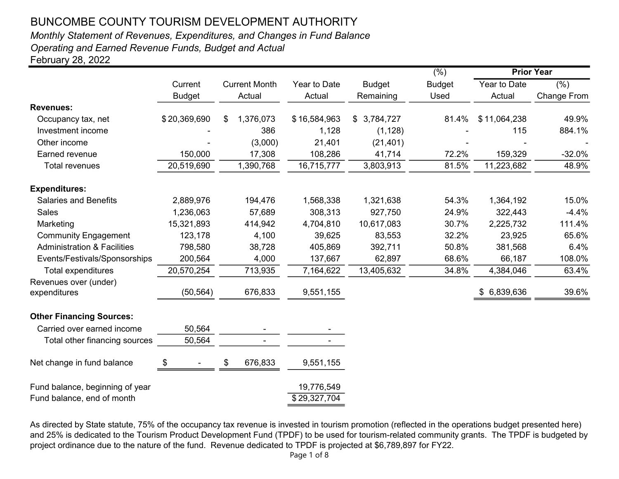# Monthly Statement of Revenues, Expenditures, and Changes in Fund Balance

Operating and Earned Revenue Funds, Budget and Actual

February 28, 2022

|                                                               |               |     |                      |                            |                 | $(\%)$        | <b>Prior Year</b> |                    |  |  |
|---------------------------------------------------------------|---------------|-----|----------------------|----------------------------|-----------------|---------------|-------------------|--------------------|--|--|
|                                                               | Current       |     | <b>Current Month</b> | Year to Date               | <b>Budget</b>   | <b>Budget</b> | Year to Date      | (% )               |  |  |
|                                                               | <b>Budget</b> |     | Actual               | Actual                     | Remaining       | Used          | Actual            | <b>Change From</b> |  |  |
| <b>Revenues:</b>                                              |               |     |                      |                            |                 |               |                   |                    |  |  |
| Occupancy tax, net                                            | \$20,369,690  | \$. | 1,376,073            | \$16,584,963               | 3,784,727<br>\$ | 81.4%         | \$11,064,238      | 49.9%              |  |  |
| Investment income                                             |               |     | 386                  | 1,128                      | (1, 128)        |               | 115               | 884.1%             |  |  |
| Other income                                                  |               |     | (3,000)              | 21,401                     | (21, 401)       |               |                   |                    |  |  |
| Earned revenue                                                | 150,000       |     | 17,308               | 108,286                    | 41,714          | 72.2%         | 159,329           | $-32.0%$           |  |  |
| <b>Total revenues</b>                                         | 20,519,690    |     | 1,390,768            | 16,715,777                 | 3,803,913       | 81.5%         | 11,223,682        | 48.9%              |  |  |
| <b>Expenditures:</b>                                          |               |     |                      |                            |                 |               |                   |                    |  |  |
| <b>Salaries and Benefits</b>                                  | 2,889,976     |     | 194,476              | 1,568,338                  | 1,321,638       | 54.3%         | 1,364,192         | 15.0%              |  |  |
| <b>Sales</b>                                                  | 1,236,063     |     | 57,689               | 308,313                    | 927,750         | 24.9%         | 322,443           | $-4.4%$            |  |  |
| Marketing                                                     | 15,321,893    |     | 414,942              | 4,704,810                  | 10,617,083      | 30.7%         | 2,225,732         | 111.4%             |  |  |
| <b>Community Engagement</b>                                   | 123,178       |     | 4,100                | 39,625                     | 83,553          | 32.2%         | 23,925            | 65.6%              |  |  |
| <b>Administration &amp; Facilities</b>                        | 798,580       |     | 38,728               | 405,869                    | 392,711         | 50.8%         | 381,568           | 6.4%               |  |  |
| Events/Festivals/Sponsorships                                 | 200,564       |     | 4,000                | 137,667                    | 62,897          | 68.6%         | 66,187            | 108.0%             |  |  |
| <b>Total expenditures</b>                                     | 20,570,254    |     | 713,935              | 7,164,622                  | 13,405,632      | 34.8%         | 4,384,046         | 63.4%              |  |  |
| Revenues over (under)                                         |               |     |                      |                            |                 |               |                   |                    |  |  |
| expenditures                                                  | (50, 564)     |     | 676,833              | 9,551,155                  |                 |               | \$ 6,839,636      | 39.6%              |  |  |
| <b>Other Financing Sources:</b>                               |               |     |                      |                            |                 |               |                   |                    |  |  |
| Carried over earned income                                    | 50,564        |     |                      |                            |                 |               |                   |                    |  |  |
| Total other financing sources                                 | 50,564        |     | $\blacksquare$       |                            |                 |               |                   |                    |  |  |
| Net change in fund balance                                    | \$            | \$  | 676,833              | 9,551,155                  |                 |               |                   |                    |  |  |
| Fund balance, beginning of year<br>Fund balance, end of month |               |     |                      | 19,776,549<br>\$29,327,704 |                 |               |                   |                    |  |  |

As directed by State statute, 75% of the occupancy tax revenue is invested in tourism promotion (reflected in the operations budget presented here) and 25% is dedicated to the Tourism Product Development Fund (TPDF) to be used for tourism-related community grants. The TPDF is budgeted by project ordinance due to the nature of the fund. Revenue dedicated to TPDF is projected at \$6,789,897 for FY22.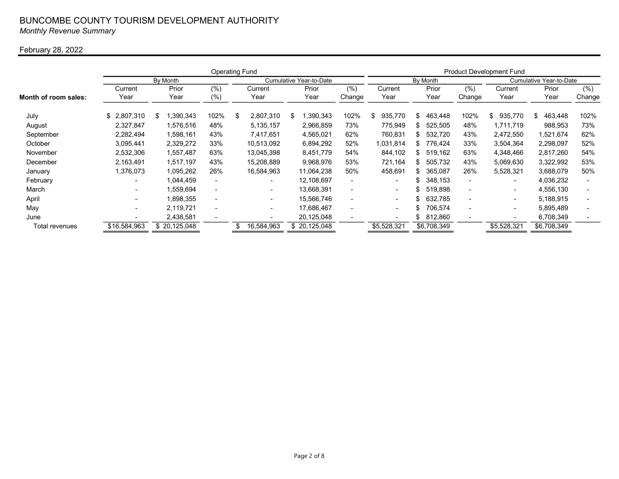#### BUNCOMBE COUNTY TOURISM DEVELOPMENT AUTHORITY Monthly Revenue Summary

#### February 28, 2022

|                      |                          | <b>Product Development Fund</b> |                          |     |                          |       |                         |                          |         |                          |    |             |        |                          |               |        |  |
|----------------------|--------------------------|---------------------------------|--------------------------|-----|--------------------------|-------|-------------------------|--------------------------|---------|--------------------------|----|-------------|--------|--------------------------|---------------|--------|--|
|                      |                          | By Month                        |                          |     |                          |       | Cumulative Year-to-Date |                          |         |                          |    | By Month    |        | Cumulative Year-to-Date  |               |        |  |
|                      | Current                  | Prior                           | (%)                      |     | Current                  | Prior |                         | (%)                      | Current |                          |    | Prior       | (%)    | Current                  | Prior         | (%)    |  |
| Month of room sales: | Year                     | Year                            | $(\%)$                   |     | Year                     |       | Year                    | Change                   |         | Year                     |    | Year        | Change | Year                     | Year          | Change |  |
| July                 | \$2,807,310              | 390,343<br>ß.                   | 102%                     | \$  | 2,807,310                | \$    | 1,390,343               | 102%                     | \$      | 935,770                  | \$ | 463,448     | 102%   | 935,770<br>ß.            | 463,448<br>\$ | 102%   |  |
| August               | 2.327.847                | 1,576,516                       | 48%                      |     | 5,135,157                |       | 2,966,859               | 73%                      |         | 775,949                  | \$ | 525,505     | 48%    | 1,711,719                | 988,953       | 73%    |  |
| September            | 2,282,494                | 1,598,161                       | 43%                      |     | 7,417,651                |       | 4,565,021               | 62%                      |         | 760,831                  | \$ | 532,720     | 43%    | 2,472,550                | 1,521,674     | 62%    |  |
| October              | 3,095,441                | 2,329,272                       | 33%                      |     | 10.513,092               |       | 6,894,292               | 52%                      |         | 1,031,814                | \$ | 776,424     | 33%    | 3,504,364                | 2,298,097     | 52%    |  |
| November             | 2,532,306                | 1,557,487                       | 63%                      |     | 13,045,398               |       | 8,451,779               | 54%                      |         | 844,102                  | \$ | 519,162     | 63%    | 4,348,466                | 2,817,260     | 54%    |  |
| December             | 2,163,491                | 1,517,197                       | 43%                      |     | 15,208,889               |       | 9,968,976               | 53%                      |         | 721,164                  | \$ | 505,732     | 43%    | 5,069,630                | 3,322,992     | 53%    |  |
| January              | 1,376,073                | 1,095,262                       | 26%                      |     | 16,584,963               |       | 11.064.238              | 50%                      |         | 458,691                  | \$ | 365.087     | 26%    | 5,528,321                | 3,688,079     | 50%    |  |
| February             | $\overline{\phantom{0}}$ | 1,044,459                       | $\overline{\phantom{a}}$ |     | $\overline{\phantom{a}}$ |       | 12,108,697              | $\blacksquare$           |         | $\overline{\phantom{0}}$ | \$ | 348,153     | -      | $\overline{\phantom{a}}$ | 4,036,232     |        |  |
| March                | -                        | 1,559,694                       | $\overline{\phantom{0}}$ |     | $\overline{\phantom{a}}$ |       | 13.668.391              | $\overline{\phantom{0}}$ |         | $\blacksquare$           | \$ | 519,898     | -      | $\overline{\phantom{0}}$ | 4,556,130     |        |  |
| April                | ۰.                       | 1,898,355                       | $\overline{\phantom{0}}$ |     | $\sim$                   |       | 15,566,746              | $\blacksquare$           |         | $\overline{\phantom{0}}$ | \$ | 632,785     | -      | $\overline{\phantom{0}}$ | 5,188,915     |        |  |
| May                  | $\overline{\phantom{0}}$ | 2,119,721                       | ٠                        |     | $\sim$                   |       | 17,686,467              | $\overline{\phantom{0}}$ |         | $\blacksquare$           | \$ | 706,574     | -      | $\overline{\phantom{0}}$ | 5,895,489     |        |  |
| June                 |                          | 2,438,581                       |                          |     | ۰.                       |       | 20,125,048              |                          |         | $\overline{\phantom{0}}$ | \$ | 812,860     |        |                          | 6,708,349     |        |  |
| Total revenues       | \$16,584,963             | \$20,125,048                    |                          | \$. | 16,584,963               |       | \$ 20,125,048           |                          |         | \$5,528,321              |    | \$6,708,349 |        | \$5,528,321              | \$6,708,349   |        |  |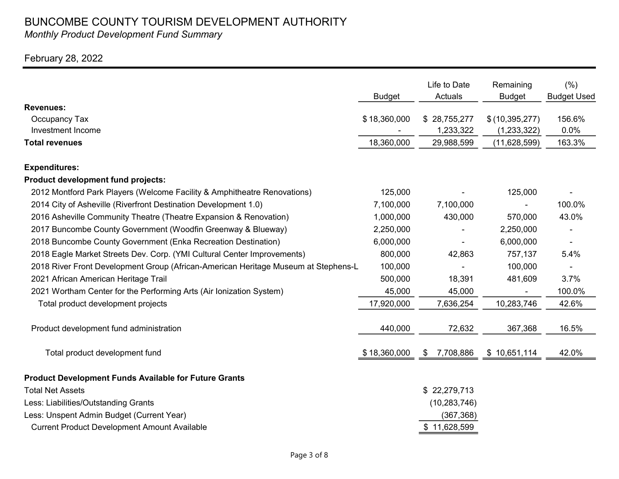Monthly Product Development Fund Summary

### February 28, 2022

|                                                                                    | <b>Budget</b> | Life to Date<br>Actuals   | Remaining<br><b>Budget</b>      | (% )<br><b>Budget Used</b> |
|------------------------------------------------------------------------------------|---------------|---------------------------|---------------------------------|----------------------------|
| <b>Revenues:</b>                                                                   |               |                           |                                 |                            |
| Occupancy Tax<br>Investment Income                                                 | \$18,360,000  | \$28,755,277<br>1,233,322 | \$(10, 395, 277)                | 156.6%<br>0.0%             |
| <b>Total revenues</b>                                                              | 18,360,000    | 29,988,599                | (1, 233, 322)<br>(11, 628, 599) | 163.3%                     |
|                                                                                    |               |                           |                                 |                            |
| <b>Expenditures:</b>                                                               |               |                           |                                 |                            |
| Product development fund projects:                                                 |               |                           |                                 |                            |
| 2012 Montford Park Players (Welcome Facility & Amphitheatre Renovations)           | 125,000       |                           | 125,000                         |                            |
| 2014 City of Asheville (Riverfront Destination Development 1.0)                    | 7,100,000     | 7,100,000                 |                                 | 100.0%                     |
| 2016 Asheville Community Theatre (Theatre Expansion & Renovation)                  | 1,000,000     | 430,000                   | 570,000                         | 43.0%                      |
| 2017 Buncombe County Government (Woodfin Greenway & Blueway)                       | 2,250,000     |                           | 2,250,000                       |                            |
| 2018 Buncombe County Government (Enka Recreation Destination)                      | 6,000,000     |                           | 6,000,000                       |                            |
| 2018 Eagle Market Streets Dev. Corp. (YMI Cultural Center Improvements)            | 800,000       | 42,863                    | 757,137                         | 5.4%                       |
| 2018 River Front Development Group (African-American Heritage Museum at Stephens-L | 100,000       |                           | 100,000                         |                            |
| 2021 African American Heritage Trail                                               | 500,000       | 18,391                    | 481,609                         | 3.7%                       |
| 2021 Wortham Center for the Performing Arts (Air Ionization System)                | 45,000        | 45,000                    |                                 | 100.0%                     |
| Total product development projects                                                 | 17,920,000    | 7,636,254                 | 10,283,746                      | 42.6%                      |
| Product development fund administration                                            | 440,000       | 72,632                    | 367,368                         | 16.5%                      |
| Total product development fund                                                     | \$18,360,000  | 7,708,886<br>\$           | \$10,651,114                    | 42.0%                      |
| <b>Product Development Funds Available for Future Grants</b>                       |               |                           |                                 |                            |
| <b>Total Net Assets</b>                                                            |               | \$22,279,713              |                                 |                            |
| Less: Liabilities/Outstanding Grants                                               |               | (10, 283, 746)            |                                 |                            |
| Less: Unspent Admin Budget (Current Year)                                          |               | (367, 368)                |                                 |                            |
| <b>Current Product Development Amount Available</b>                                |               | \$11,628,599              |                                 |                            |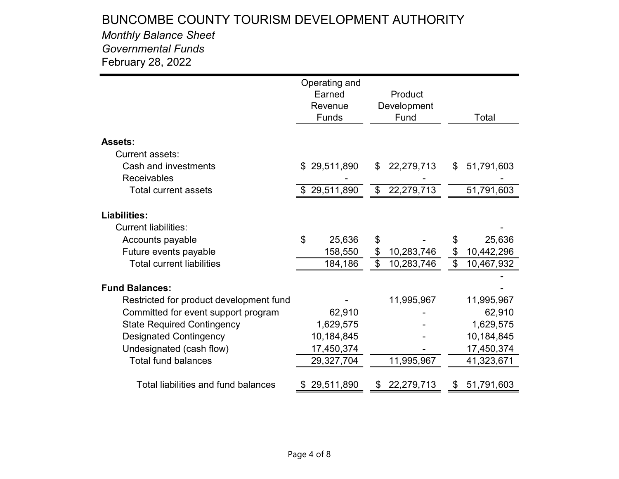### Monthly Balance Sheet Governmental Funds February 28, 2022

|                                         | Operating and    |                                         |                  |
|-----------------------------------------|------------------|-----------------------------------------|------------------|
|                                         | Earned           | Product                                 |                  |
|                                         | Revenue          | Development                             |                  |
|                                         | Funds            | Fund                                    | Total            |
|                                         |                  |                                         |                  |
| <b>Assets:</b>                          |                  |                                         |                  |
| Current assets:                         |                  |                                         |                  |
| Cash and investments                    | 29,511,890<br>\$ | 22,279,713<br>\$                        | 51,791,603<br>\$ |
| <b>Receivables</b>                      |                  |                                         |                  |
| <b>Total current assets</b>             | \$29,511,890     | 22,279,713<br>$\boldsymbol{\mathsf{S}}$ | 51,791,603       |
|                                         |                  |                                         |                  |
| <b>Liabilities:</b>                     |                  |                                         |                  |
| <b>Current liabilities:</b>             |                  |                                         |                  |
| Accounts payable                        | \$<br>25,636     | \$                                      | 25,636<br>\$     |
| Future events payable                   | 158,550          | 10,283,746<br>\$                        | \$<br>10,442,296 |
| <b>Total current liabilities</b>        | 184,186          | \$<br>10,283,746                        | \$<br>10,467,932 |
| <b>Fund Balances:</b>                   |                  |                                         |                  |
|                                         |                  |                                         |                  |
| Restricted for product development fund |                  | 11,995,967                              | 11,995,967       |
| Committed for event support program     | 62,910           |                                         | 62,910           |
| <b>State Required Contingency</b>       | 1,629,575        |                                         | 1,629,575        |
| <b>Designated Contingency</b>           | 10,184,845       |                                         | 10,184,845       |
| Undesignated (cash flow)                | 17,450,374       |                                         | 17,450,374       |
| <b>Total fund balances</b>              | 29,327,704       | 11,995,967                              | 41,323,671       |
| Total liabilities and fund balances     | 29,511,890       | 22,279,713<br>\$                        | 51,791,603<br>\$ |
|                                         |                  |                                         |                  |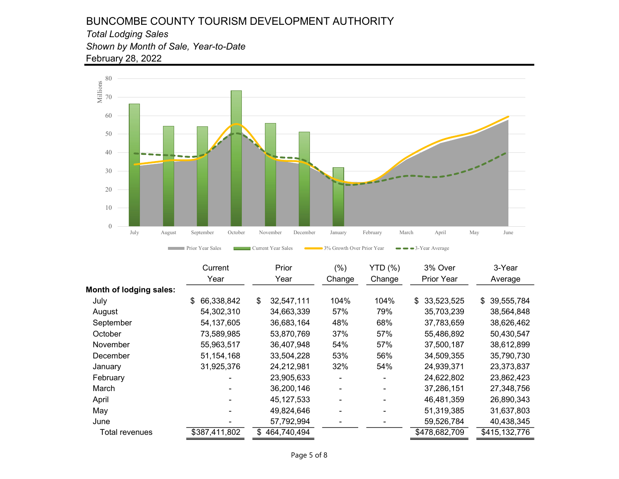#### BUNCOMBE COUNTY TOURISM DEVELOPMENT AUTHORITY Total Lodging Sales Shown by Month of Sale, Year-to-Date

February 28, 2022

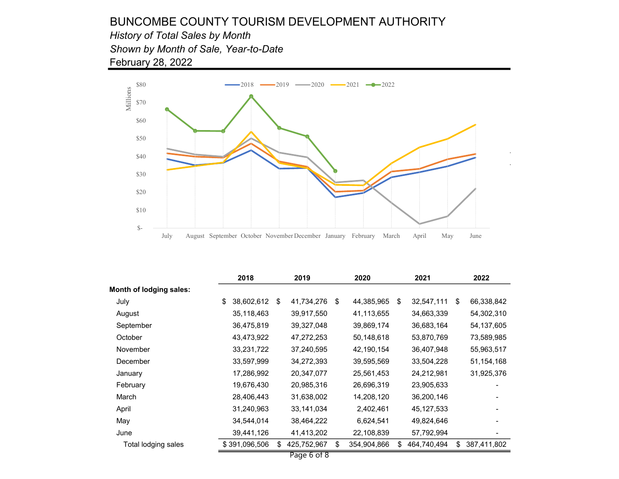February 28, 2022 History of Total Sales by Month Shown by Month of Sale, Year-to-Date



|                         | 2018             |    | 2019        | 2020              | 2021 |              |    | 2022         |
|-------------------------|------------------|----|-------------|-------------------|------|--------------|----|--------------|
| Month of lodging sales: |                  |    |             |                   |      |              |    |              |
| July                    | \$<br>38,602,612 | \$ | 41,734,276  | \$<br>44,385,965  | \$   | 32,547,111   | S. | 66,338,842   |
| August                  | 35,118,463       |    | 39,917,550  | 41,113,655        |      | 34,663,339   |    | 54,302,310   |
| September               | 36,475,819       |    | 39,327,048  | 39,869,174        |      | 36,683,164   |    | 54,137,605   |
| October                 | 43,473,922       |    | 47,272,253  | 50,148,618        |      | 53,870,769   |    | 73,589,985   |
| November                | 33,231,722       |    | 37,240,595  | 42,190,154        |      | 36,407,948   |    | 55,963,517   |
| December                | 33,597,999       |    | 34,272,393  | 39,595,569        |      | 33,504,228   |    | 51, 154, 168 |
| January                 | 17,286,992       |    | 20,347,077  | 25,561,453        |      | 24,212,981   |    | 31,925,376   |
| February                | 19,676,430       |    | 20,985,316  | 26,696,319        |      | 23,905,633   |    |              |
| March                   | 28,406,443       |    | 31,638,002  | 14,208,120        |      | 36,200,146   |    |              |
| April                   | 31,240,963       |    | 33,141,034  | 2,402,461         |      | 45, 127, 533 |    |              |
| May                     | 34,544,014       |    | 38,464,222  | 6,624,541         |      | 49,824,646   |    |              |
| June                    | 39,441,126       |    | 41,413,202  | 22,108,839        |      | 57,792,994   |    |              |
| Total lodging sales     | \$391,096,506    | \$ | 425,752,967 | \$<br>354,904,866 | \$   | 464,740,494  | \$ | 387,411,802  |
|                         |                  |    | Page 6 of 8 |                   |      |              |    |              |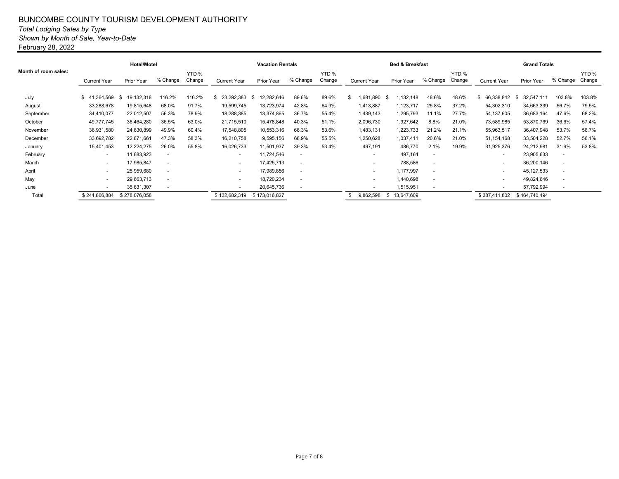#### BUNCOMBE COUNTY TOURISM DEVELOPMENT AUTHORITY Total Lodging Sales by Type Shown by Month of Sale, Year-to-Date February 28, 2022

|                      |                          | <b>Hotel/Motel</b> |                          |                 |                          | <b>Vacation Rentals</b> |          |                 | <b>Bed &amp; Breakfast</b> |              | <b>Grand Totals</b>      |                 |                          |                    |                          |                 |
|----------------------|--------------------------|--------------------|--------------------------|-----------------|--------------------------|-------------------------|----------|-----------------|----------------------------|--------------|--------------------------|-----------------|--------------------------|--------------------|--------------------------|-----------------|
| Month of room sales: | <b>Current Year</b>      | Prior Year         | % Change                 | YTD %<br>Change | <b>Current Year</b>      | Prior Year              | % Change | YTD %<br>Change | <b>Current Year</b>        | Prior Year   | % Change                 | YTD %<br>Change | <b>Current Year</b>      | Prior Year         | % Change                 | YTD %<br>Change |
| July                 | \$41,364,569             | 19,132,318<br>- \$ | 116.2%                   | 116.2%          | 23,292,383<br>-SS        | 12,282,646<br>- SS      | 89.6%    | 89.6%           | .681,890                   | ,132,148     | 48.6%                    | 48.6%           | 66,338,842               | 32,547,111<br>- 35 | 103.8%                   | 103.8%          |
| August               | 33,288,678               | 19,815,648         | 68.0%                    | 91.7%           | 19,599,745               | 13,723,974              | 42.8%    | 64.9%           | 1,413,887                  | 1,123,717    | 25.8%                    | 37.2%           | 54,302,310               | 34,663,339         | 56.7%                    | 79.5%           |
| September            | 34,410,077               | 22,012,507         | 56.3%                    | 78.9%           | 18,288,385               | 13,374,865              | 36.7%    | 55.4%           | 1,439,143                  | 1,295,793    | 11.1%                    | 27.7%           | 54, 137, 605             | 36,683,164         | 47.6%                    | 68.2%           |
| October              | 49,777,745               | 36,464,280         | 36.5%                    | 63.0%           | 21,715,510               | 15,478,848              | 40.3%    | 51.1%           | 2,096,730                  | 1,927,642    | 8.8%                     | 21.0%           | 73,589,985               | 53,870,769         | 36.6%                    | 57.4%           |
| November             | 36,931,580               | 24,630,899         | 49.9%                    | 60.4%           | 17,548,805               | 10,553,316              | 66.3%    | 53.6%           | 1,483,131                  | 1,223,733    | 21.2%                    | 21.1%           | 55,963,517               | 36,407,948         | 53.7%                    | 56.7%           |
| December             | 33,692,782               | 22,871,661         | 47.3%                    | 58.3%           | 16,210,758               | 9,595,156               | 68.9%    | 55.5%           | 1,250,628                  | 1,037,411    | 20.6%                    | 21.0%           | 51, 154, 168             | 33,504,228         | 52.7%                    | 56.1%           |
| January              | 15,401,453               | 12,224,275         | 26.0%                    | 55.8%           | 16,026,733               | 11,501,937              | 39.3%    | 53.4%           | 497,191                    | 486,770      | 2.1%                     | 19.9%           | 31,925,376               | 24,212,981         | 31.9%                    | 53.8%           |
| February             | $\overline{\phantom{a}}$ | 11,683,923         | $\overline{\phantom{a}}$ |                 | ٠                        | 11,724,546              | $\sim$   |                 | $\overline{\phantom{a}}$   | 497,164      | $\overline{\phantom{a}}$ |                 | $\overline{\phantom{0}}$ | 23,905,633         | $\overline{\phantom{a}}$ |                 |
| March                | $\overline{\phantom{a}}$ | 17,985,847         | $\overline{\phantom{a}}$ |                 | ٠                        | 17,425,713              | $\sim$   |                 |                            | 788,586      | $\overline{\phantom{a}}$ |                 | $\sim$                   | 36,200,146         | $\overline{\phantom{a}}$ |                 |
| April                | $\overline{\phantom{a}}$ | 25,959,680         | ٠                        |                 | ٠                        | 17.989.856              | $\sim$   |                 | $\overline{\phantom{0}}$   | 1,177,997    | $\overline{\phantom{a}}$ |                 | $\sim$                   | 45, 127, 533       |                          |                 |
| May                  | $\overline{\phantom{a}}$ | 29,663,713         | $\overline{\phantom{a}}$ |                 | $\overline{\phantom{a}}$ | 18,720,234              | $\sim$   |                 | $\overline{\phantom{0}}$   | 1,440,698    | $\overline{a}$           |                 | $\sim$                   | 49,824,646         |                          |                 |
| June                 | $\overline{\phantom{a}}$ | 35,631,307         | $\sim$                   |                 | $\overline{\phantom{a}}$ | 20,645,736              | $\sim$   |                 | $\overline{\phantom{0}}$   | 1,515,951    | $\overline{a}$           |                 | $\sim$                   | 57,792,994         |                          |                 |
| Total                | \$244,866,884            | \$278,076,058      |                          |                 | \$132,682,319            | \$173,016,827           |          |                 | 9,862,598                  | \$13,647,609 |                          |                 | \$387,411,802            | \$464,740,494      |                          |                 |
|                      |                          |                    |                          |                 |                          |                         |          |                 |                            |              |                          |                 |                          |                    |                          |                 |